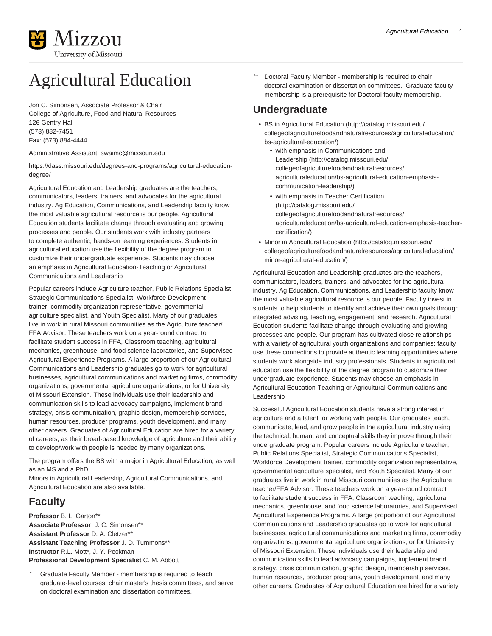

# Agricultural Education

Jon C. Simonsen, Associate Professor & Chair College of Agriculture, Food and Natural Resources 126 Gentry Hall (573) 882-7451 Fax: (573) 884-4444

Administrative Assistant: [swaimc@missouri.edu](mailto:swaimc@missouri.edu)

[https://dass.missouri.edu/degrees-and-programs/agricultural-education](https://dass.missouri.edu/degrees-and-programs/agricultural-education-degree/)[degree/](https://dass.missouri.edu/degrees-and-programs/agricultural-education-degree/)

Agricultural Education and Leadership graduates are the teachers, communicators, leaders, trainers, and advocates for the agricultural industry. Ag Education, Communications, and Leadership faculty know the most valuable agricultural resource is our people. Agricultural Education students facilitate change through evaluating and growing processes and people. Our students work with industry partners to complete authentic, hands-on learning experiences. Students in agricultural education use the flexibility of the degree program to customize their undergraduate experience. Students may choose an emphasis in Agricultural Education-Teaching or Agricultural Communications and Leadership

Popular careers include Agriculture teacher, Public Relations Specialist, Strategic Communications Specialist, Workforce Development trainer, commodity organization representative, governmental agriculture specialist, and Youth Specialist. Many of our graduates live in work in rural Missouri communities as the Agriculture teacher/ FFA Advisor. These teachers work on a year-round contract to facilitate student success in FFA, Classroom teaching, agricultural mechanics, greenhouse, and food science laboratories, and Supervised Agricultural Experience Programs. A large proportion of our Agricultural Communications and Leadership graduates go to work for agricultural businesses, agricultural communications and marketing firms, commodity organizations, governmental agriculture organizations, or for University of Missouri Extension. These individuals use their leadership and communication skills to lead advocacy campaigns, implement brand strategy, crisis communication, graphic design, membership services, human resources, producer programs, youth development, and many other careers. Graduates of Agricultural Education are hired for a variety of careers, as their broad-based knowledge of agriculture and their ability to develop/work with people is needed by many organizations.

The program offers the BS with a major in Agricultural Education, as well as an MS and a PhD.

Minors in Agricultural Leadership, Agricultural Communications, and Agricultural Education are also available.

### **Faculty**

**Professor** B. L. Garton\*\* **Associate Professor** J. C. Simonsen\*\* **Assistant Professor** D. A. Cletzer\*\* **Assistant Teaching Professor** J. D. Tummons\*\* **Instructor** R.L. Mott\*, J. Y. Peckman **Professional Development Specialist** C. M. Abbott

Graduate Faculty Member - membership is required to teach graduate-level courses, chair master's thesis committees, and serve on doctoral examination and dissertation committees.

Doctoral Faculty Member - membership is required to chair doctoral examination or dissertation committees. Graduate faculty membership is a prerequisite for Doctoral faculty membership.

### **Undergraduate**

- [BS in Agricultural Education](http://catalog.missouri.edu/collegeofagriculturefoodandnaturalresources/agriculturaleducation/bs-agricultural-education/) [\(http://catalog.missouri.edu/](http://catalog.missouri.edu/collegeofagriculturefoodandnaturalresources/agriculturaleducation/bs-agricultural-education/) [collegeofagriculturefoodandnaturalresources/agriculturaleducation/](http://catalog.missouri.edu/collegeofagriculturefoodandnaturalresources/agriculturaleducation/bs-agricultural-education/) [bs-agricultural-education/\)](http://catalog.missouri.edu/collegeofagriculturefoodandnaturalresources/agriculturaleducation/bs-agricultural-education/)
	- [with emphasis in Communications and](http://catalog.missouri.edu/collegeofagriculturefoodandnaturalresources/agriculturaleducation/bs-agricultural-education-emphasis-communication-leadership/) [Leadership \(http://catalog.missouri.edu/](http://catalog.missouri.edu/collegeofagriculturefoodandnaturalresources/agriculturaleducation/bs-agricultural-education-emphasis-communication-leadership/) [collegeofagriculturefoodandnaturalresources/](http://catalog.missouri.edu/collegeofagriculturefoodandnaturalresources/agriculturaleducation/bs-agricultural-education-emphasis-communication-leadership/) [agriculturaleducation/bs-agricultural-education-emphasis](http://catalog.missouri.edu/collegeofagriculturefoodandnaturalresources/agriculturaleducation/bs-agricultural-education-emphasis-communication-leadership/)[communication-leadership/\)](http://catalog.missouri.edu/collegeofagriculturefoodandnaturalresources/agriculturaleducation/bs-agricultural-education-emphasis-communication-leadership/)
	- [with emphasis in Teacher Certification](http://catalog.missouri.edu/collegeofagriculturefoodandnaturalresources/agriculturaleducation/bs-agricultural-education-emphasis-teacher-certification/) ([http://catalog.missouri.edu/](http://catalog.missouri.edu/collegeofagriculturefoodandnaturalresources/agriculturaleducation/bs-agricultural-education-emphasis-teacher-certification/) [collegeofagriculturefoodandnaturalresources/](http://catalog.missouri.edu/collegeofagriculturefoodandnaturalresources/agriculturaleducation/bs-agricultural-education-emphasis-teacher-certification/) [agriculturaleducation/bs-agricultural-education-emphasis-teacher](http://catalog.missouri.edu/collegeofagriculturefoodandnaturalresources/agriculturaleducation/bs-agricultural-education-emphasis-teacher-certification/)[certification/\)](http://catalog.missouri.edu/collegeofagriculturefoodandnaturalresources/agriculturaleducation/bs-agricultural-education-emphasis-teacher-certification/)
- [Minor in Agricultural Education](http://catalog.missouri.edu/collegeofagriculturefoodandnaturalresources/agriculturaleducation/minor-agricultural-education/) [\(http://catalog.missouri.edu/](http://catalog.missouri.edu/collegeofagriculturefoodandnaturalresources/agriculturaleducation/minor-agricultural-education/) [collegeofagriculturefoodandnaturalresources/agriculturaleducation/](http://catalog.missouri.edu/collegeofagriculturefoodandnaturalresources/agriculturaleducation/minor-agricultural-education/) [minor-agricultural-education/](http://catalog.missouri.edu/collegeofagriculturefoodandnaturalresources/agriculturaleducation/minor-agricultural-education/))

Agricultural Education and Leadership graduates are the teachers, communicators, leaders, trainers, and advocates for the agricultural industry. Ag Education, Communications, and Leadership faculty know the most valuable agricultural resource is our people. Faculty invest in students to help students to identify and achieve their own goals through integrated advising, teaching, engagement, and research. Agricultural Education students facilitate change through evaluating and growing processes and people. Our program has cultivated close relationships with a variety of agricultural youth organizations and companies; faculty use these connections to provide authentic learning opportunities where students work alongside industry professionals. Students in agricultural education use the flexibility of the degree program to customize their undergraduate experience. Students may choose an emphasis in Agricultural Education-Teaching or Agricultural Communications and Leadership

Successful Agricultural Education students have a strong interest in agriculture and a talent for working with people. Our graduates teach, communicate, lead, and grow people in the agricultural industry using the technical, human, and conceptual skills they improve through their undergraduate program. Popular careers include Agriculture teacher, Public Relations Specialist, Strategic Communications Specialist, Workforce Development trainer, commodity organization representative, governmental agriculture specialist, and Youth Specialist. Many of our graduates live in work in rural Missouri communities as the Agriculture teacher/FFA Advisor. These teachers work on a year-round contract to facilitate student success in FFA, Classroom teaching, agricultural mechanics, greenhouse, and food science laboratories, and Supervised Agricultural Experience Programs. A large proportion of our Agricultural Communications and Leadership graduates go to work for agricultural businesses, agricultural communications and marketing firms, commodity organizations, governmental agriculture organizations, or for University of Missouri Extension. These individuals use their leadership and communication skills to lead advocacy campaigns, implement brand strategy, crisis communication, graphic design, membership services, human resources, producer programs, youth development, and many other careers. Graduates of Agricultural Education are hired for a variety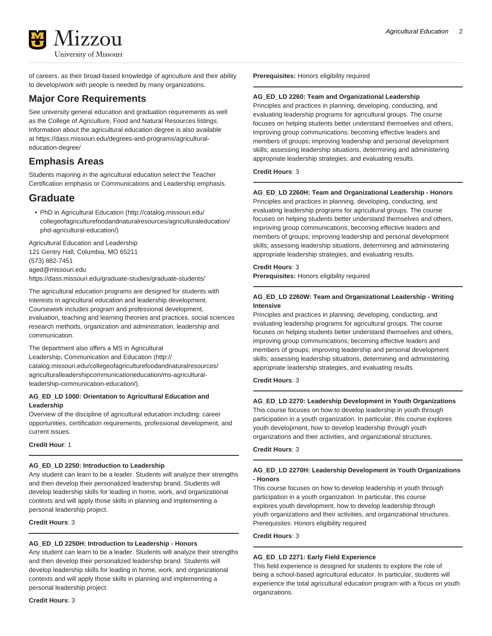

of careers, as their broad-based knowledge of agriculture and their ability to develop/work with people is needed by many organizations.

### **Major Core Requirements**

See university general education and graduation requirements as well as the College of Agriculture, Food and Natural Resources listings. Information about the agricultural education degree is also available at [https://dass.missouri.edu/degrees-and-programs/agricultural](https://dass.missouri.edu/degrees-and-programs/agricultural-education-degree/)[education-degree/](https://dass.missouri.edu/degrees-and-programs/agricultural-education-degree/)

### **Emphasis Areas**

Students majoring in the agricultural education select the Teacher Certification emphasis or Communications and Leadership emphasis.

### **Graduate**

• [PhD in Agricultural Education](http://catalog.missouri.edu/collegeofagriculturefoodandnaturalresources/agriculturaleducation/phd-agricultural-education/) ([http://catalog.missouri.edu/](http://catalog.missouri.edu/collegeofagriculturefoodandnaturalresources/agriculturaleducation/phd-agricultural-education/) [collegeofagriculturefoodandnaturalresources/agriculturaleducation/](http://catalog.missouri.edu/collegeofagriculturefoodandnaturalresources/agriculturaleducation/phd-agricultural-education/) [phd-agricultural-education/\)](http://catalog.missouri.edu/collegeofagriculturefoodandnaturalresources/agriculturaleducation/phd-agricultural-education/)

Agricultural Education and Leadership 121 Gentry Hall, Columbia, MO 65211 (573) 882-7451 [aged@missouri.edu](mailto:aged@missouri.edu) <https://dass.missouri.edu/graduate-studies/graduate-students/>

The agricultural education programs are designed for students with interests in agricultural education and leadership development. Coursework includes program and professional development, evaluation, teaching and learning theories and practices, social sciences research methods, organization and administration, leadership and communication.

The department also offers a [MS in Agricultural](http://catalog.missouri.edu/collegeofagriculturefoodandnaturalresources/agriculturalleadershipcommunicationeducation/ms-agricultural-leadership-communication-education/) [Leadership, Communication and Education](http://catalog.missouri.edu/collegeofagriculturefoodandnaturalresources/agriculturalleadershipcommunicationeducation/ms-agricultural-leadership-communication-education/) ([http://](http://catalog.missouri.edu/collegeofagriculturefoodandnaturalresources/agriculturalleadershipcommunicationeducation/ms-agricultural-leadership-communication-education/) [catalog.missouri.edu/collegeofagriculturefoodandnaturalresources/](http://catalog.missouri.edu/collegeofagriculturefoodandnaturalresources/agriculturalleadershipcommunicationeducation/ms-agricultural-leadership-communication-education/) [agriculturalleadershipcommunicationeducation/ms-agricultural](http://catalog.missouri.edu/collegeofagriculturefoodandnaturalresources/agriculturalleadershipcommunicationeducation/ms-agricultural-leadership-communication-education/)[leadership-communication-education/\)](http://catalog.missouri.edu/collegeofagriculturefoodandnaturalresources/agriculturalleadershipcommunicationeducation/ms-agricultural-leadership-communication-education/).

#### **AG\_ED\_LD 1000: Orientation to Agricultural Education and Leadership**

Overview of the discipline of agricultural education including: career opportunities, certification requirements, professional development, and current issues.

**Credit Hour**: 1

#### **AG\_ED\_LD 2250: Introduction to Leadership**

Any student can learn to be a leader. Students will analyze their strengths and then develop their personalized leadership brand. Students will develop leadership skills for leading in home, work, and organizational contexts and will apply those skills in planning and implementing a personal leadership project.

**Credit Hours**: 3

#### **AG\_ED\_LD 2250H: Introduction to Leadership - Honors**

Any student can learn to be a leader. Students will analyze their strengths and then develop their personalized leadership brand. Students will develop leadership skills for leading in home, work, and organizational contexts and will apply those skills in planning and implementing a personal leadership project.

**Credit Hours**: 3

**Prerequisites:** Honors eligibility required

#### **AG\_ED\_LD 2260: Team and Organizational Leadership**

Principles and practices in planning, developing, conducting, and evaluating leadership programs for agricultural groups. The course focuses on helping students better understand themselves and others, improving group communications; becoming effective leaders and members of groups; improving leadership and personal development skills; assessing leadership situations, determining and administering appropriate leadership strategies, and evaluating results.

#### **Credit Hours**: 3

#### **AG\_ED\_LD 2260H: Team and Organizational Leadership - Honors**

Principles and practices in planning, developing, conducting, and evaluating leadership programs for agricultural groups. The course focuses on helping students better understand themselves and others, improving group communications; becoming effective leaders and members of groups; improving leadership and personal development skills; assessing leadership situations, determining and administering appropriate leadership strategies, and evaluating results.

### **Credit Hours**: 3

**Prerequisites:** Honors eligibility required

#### **AG\_ED\_LD 2260W: Team and Organizational Leadership - Writing Intensive**

Principles and practices in planning, developing, conducting, and evaluating leadership programs for agricultural groups. The course focuses on helping students better understand themselves and others, improving group communications; becoming effective leaders and members of groups; improving leadership and personal development skills; assessing leadership situations, determining and administering appropriate leadership strategies, and evaluating results.

**Credit Hours**: 3

#### **AG\_ED\_LD 2270: Leadership Development in Youth Organizations**

This course focuses on how to develop leadership in youth through participation in a youth organization. In particular, this course explores youth development, how to develop leadership through youth organizations and their activities, and organizational structures.

**Credit Hours**: 3

#### **AG\_ED\_LD 2270H: Leadership Development in Youth Organizations - Honors**

This course focuses on how to develop leadership in youth through participation in a youth organization. In particular, this course explores youth development, how to develop leadership through youth organizations and their activities, and organizational structures. Prerequisites: Honors eligibility required

**Credit Hours**: 3

#### **AG\_ED\_LD 2271: Early Field Experience**

This field experience is designed for students to explore the role of being a school-based agricultural educator. In particular, students will experience the total agricultural education program with a focus on youth organizations.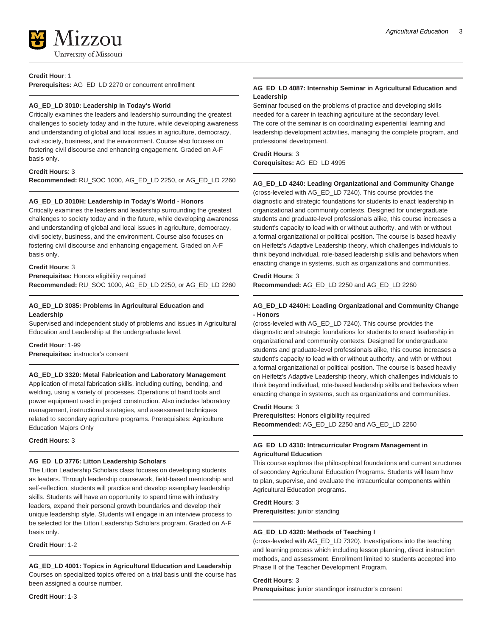

#### **Credit Hour**: 1

**Prerequisites:** AG\_ED\_LD 2270 or concurrent enrollment

#### **AG\_ED\_LD 3010: Leadership in Today's World**

Critically examines the leaders and leadership surrounding the greatest challenges to society today and in the future, while developing awareness and understanding of global and local issues in agriculture, democracy, civil society, business, and the environment. Course also focuses on fostering civil discourse and enhancing engagement. Graded on A-F basis only.

#### **Credit Hours**: 3

**Recommended:** RU\_SOC 1000, AG\_ED\_LD 2250, or AG\_ED\_LD 2260

#### **AG\_ED\_LD 3010H: Leadership in Today's World - Honors**

Critically examines the leaders and leadership surrounding the greatest challenges to society today and in the future, while developing awareness and understanding of global and local issues in agriculture, democracy, civil society, business, and the environment. Course also focuses on fostering civil discourse and enhancing engagement. Graded on A-F basis only.

#### **Credit Hours**: 3

**Prerequisites:** Honors eligibility required **Recommended:** RU\_SOC 1000, AG\_ED\_LD 2250, or AG\_ED\_LD 2260

#### **AG\_ED\_LD 3085: Problems in Agricultural Education and Leadership**

Supervised and independent study of problems and issues in Agricultural Education and Leadership at the undergraduate level.

#### **Credit Hour**: 1-99

**Prerequisites:** instructor's consent

#### **AG\_ED\_LD 3320: Metal Fabrication and Laboratory Management**

Application of metal fabrication skills, including cutting, bending, and welding, using a variety of processes. Operations of hand tools and power equipment used in project construction. Also includes laboratory management, instructional strategies, and assessment techniques related to secondary agriculture programs. Prerequisites: Agriculture Education Majors Only

**Credit Hours**: 3

#### **AG\_ED\_LD 3776: Litton Leadership Scholars**

The Litton Leadership Scholars class focuses on developing students as leaders. Through leadership coursework, field-based mentorship and self-reflection, students will practice and develop exemplary leadership skills. Students will have an opportunity to spend time with industry leaders, expand their personal growth boundaries and develop their unique leadership style. Students will engage in an interview process to be selected for the Litton Leadership Scholars program. Graded on A-F basis only.

**Credit Hour**: 1-2

#### **AG\_ED\_LD 4001: Topics in Agricultural Education and Leadership**

Courses on specialized topics offered on a trial basis until the course has been assigned a course number.

**Credit Hour**: 1-3

#### **AG\_ED\_LD 4087: Internship Seminar in Agricultural Education and Leadership**

Seminar focused on the problems of practice and developing skills needed for a career in teaching agriculture at the secondary level. The core of the seminar is on coordinating experiential learning and leadership development activities, managing the complete program, and professional development.

#### **Credit Hours**: 3

**Corequisites:** AG\_ED\_LD 4995

#### **AG\_ED\_LD 4240: Leading Organizational and Community Change**

(cross-leveled with AG\_ED\_LD 7240). This course provides the diagnostic and strategic foundations for students to enact leadership in organizational and community contexts. Designed for undergraduate students and graduate-level professionals alike, this course increases a student's capacity to lead with or without authority, and with or without a formal organizational or political position. The course is based heavily on Heifetz's Adaptive Leadership theory, which challenges individuals to think beyond individual, role-based leadership skills and behaviors when enacting change in systems, such as organizations and communities.

#### **Credit Hours**: 3

**Recommended:** AG\_ED\_LD 2250 and AG\_ED\_LD 2260

#### **AG\_ED\_LD 4240H: Leading Organizational and Community Change - Honors**

(cross-leveled with AG\_ED\_LD 7240). This course provides the diagnostic and strategic foundations for students to enact leadership in organizational and community contexts. Designed for undergraduate students and graduate-level professionals alike, this course increases a student's capacity to lead with or without authority, and with or without a formal organizational or political position. The course is based heavily on Heifetz's Adaptive Leadership theory, which challenges individuals to think beyond individual, role-based leadership skills and behaviors when enacting change in systems, such as organizations and communities.

#### **Credit Hours**: 3

**Prerequisites:** Honors eligibility required **Recommended:** AG\_ED\_LD 2250 and AG\_ED\_LD 2260

#### **AG\_ED\_LD 4310: Intracurricular Program Management in Agricultural Education**

This course explores the philosophical foundations and current structures of secondary Agricultural Education Programs. Students will learn how to plan, supervise, and evaluate the intracurricular components within Agricultural Education programs.

**Credit Hours**: 3

**Prerequisites:** junior standing

#### **AG\_ED\_LD 4320: Methods of Teaching I**

(cross-leveled with AG\_ED\_LD 7320). Investigations into the teaching and learning process which including lesson planning, direct instruction methods, and assessment. Enrollment limited to students accepted into Phase II of the Teacher Development Program.

#### **Credit Hours**: 3

**Prerequisites:** junior standingor instructor's consent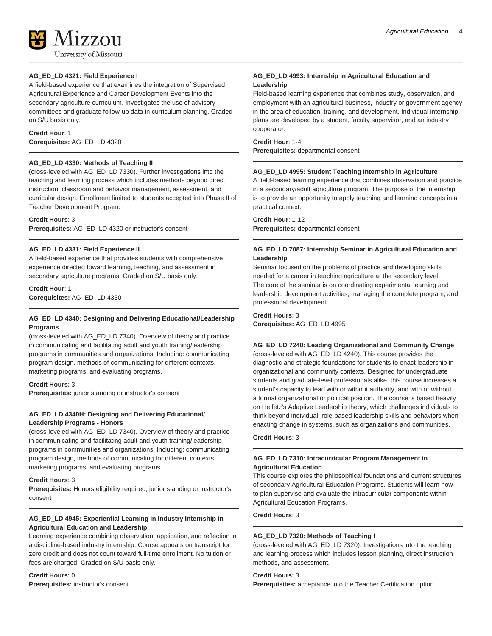

#### **AG\_ED\_LD 4321: Field Experience I**

A field-based experience that examines the integration of Supervised Agricultural Experience and Career Development Events into the secondary agriculture curriculum. Investigates the use of advisory committees and graduate follow-up data in curriculum planning. Graded on S/U basis only.

### **Credit Hour**: 1

**Corequisites:** AG\_ED\_LD 4320

#### **AG\_ED\_LD 4330: Methods of Teaching II**

(cross-leveled with AG\_ED\_LD 7330). Further investigations into the teaching and learning process which includes methods beyond direct instruction, classroom and behavior management, assessment, and curricular design. Enrollment limited to students accepted into Phase II of Teacher Development Program.

#### **Credit Hours**: 3

**Prerequisites:** AG\_ED\_LD 4320 or instructor's consent

#### **AG\_ED\_LD 4331: Field Experience II**

A field-based experience that provides students with comprehensive experience directed toward learning, teaching, and assessment in secondary agriculture programs. Graded on S/U basis only.

**Credit Hour**: 1 **Corequisites:** AG\_ED\_LD 4330

#### **AG\_ED\_LD 4340: Designing and Delivering Educational/Leadership Programs**

(cross-leveled with AG\_ED\_LD 7340). Overview of theory and practice in communicating and facilitating adult and youth training/leadership programs in communities and organizations. Including: communicating program design, methods of communicating for different contexts, marketing programs, and evaluating programs.

#### **Credit Hours**: 3

**Prerequisites:** junior standing or instructor's consent

#### **AG\_ED\_LD 4340H: Designing and Delivering Educational/ Leadership Programs - Honors**

(cross-leveled with AG\_ED\_LD 7340). Overview of theory and practice in communicating and facilitating adult and youth training/leadership programs in communities and organizations. Including: communicating program design, methods of communicating for different contexts, marketing programs, and evaluating programs.

#### **Credit Hours**: 3

**Prerequisites:** Honors eligibility required; junior standing or instructor's consent

#### **AG\_ED\_LD 4945: Experiential Learning in Industry Internship in Agricultural Education and Leadership**

Learning experience combining observation, application, and reflection in a discipline-based industry internship. Course appears on transcript for zero credit and does not count toward full-time enrollment. No tuition or fees are charged. Graded on S/U basis only.

#### **Credit Hours**: 0 **Prerequisites:** instructor's consent

#### **AG\_ED\_LD 4993: Internship in Agricultural Education and Leadership**

Field-based learning experience that combines study, observation, and employment with an agricultural business, industry or government agency in the area of education, training, and development. Individual internship plans are developed by a student, faculty supervisor, and an industry cooperator.

## **Credit Hour**: 1-4

**Prerequisites:** departmental consent

#### **AG\_ED\_LD 4995: Student Teaching Internship in Agriculture**

A field-based learning experience that combines observation and practice in a secondary/adult agriculture program. The purpose of the internship is to provide an opportunity to apply teaching and learning concepts in a practical context.

**Credit Hour**: 1-12 **Prerequisites:** departmental consent

#### **AG\_ED\_LD 7087: Internship Seminar in Agricultural Education and Leadership**

Seminar focused on the problems of practice and developing skills needed for a career in teaching agriculture at the secondary level. The core of the seminar is on coordinating experimental learning and leadership development activities, managing the complete program, and professional development.

**Credit Hours**: 3 **Corequisites:** AG\_ED\_LD 4995

**AG\_ED\_LD 7240: Leading Organizational and Community Change** (cross-leveled with AG\_ED\_LD 4240). This course provides the diagnostic and strategic foundations for students to enact leadership in organizational and community contexts. Designed for undergraduate students and graduate-level professionals alike, this course increases a student's capacity to lead with or without authority, and with or without a formal organizational or political position. The course is based heavily on Heifetz's Adaptive Leadership theory, which challenges individuals to think beyond individual, role-based leadership skills and behaviors when enacting change in systems, such as organizations and communities.

#### **Credit Hours**: 3

#### **AG\_ED\_LD 7310: Intracurricular Program Management in Agricultural Education**

This course explores the philosophical foundations and current structures of secondary Agricultural Education Programs. Students will learn how to plan supervise and evaluate the intracurricular components within Agricultural Education Programs.

#### **Credit Hours**: 3

#### **AG\_ED\_LD 7320: Methods of Teaching I**

(cross-leveled with AG\_ED\_LD 7320). Investigations into the teaching and learning process which includes lesson planning, direct instruction methods, and assessment.

#### **Credit Hours**: 3

**Prerequisites:** acceptance into the Teacher Certification option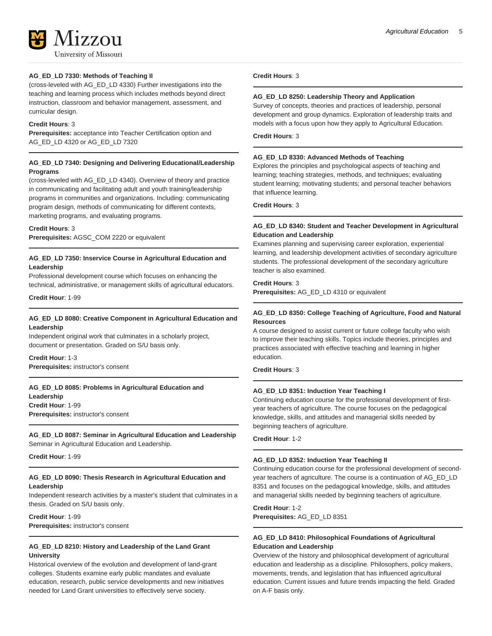

#### **AG\_ED\_LD 7330: Methods of Teaching II**

(cross-leveled with AG\_ED\_LD 4330) Further investigations into the teaching and learning process which includes methods beyond direct instruction, classroom and behavior management, assessment, and curricular design.

#### **Credit Hours**: 3

**Prerequisites:** acceptance into Teacher Certification option and AG\_ED\_LD 4320 or AG\_ED\_LD 7320

#### **AG\_ED\_LD 7340: Designing and Delivering Educational/Leadership Programs**

(cross-leveled with AG\_ED\_LD 4340). Overview of theory and practice in communicating and facilitating adult and youth training/leadership programs in communities and organizations. Including: communicating program design, methods of communicating for different contexts, marketing programs, and evaluating programs.

#### **Credit Hours**: 3

**Prerequisites:** AGSC\_COM 2220 or equivalent

#### **AG\_ED\_LD 7350: Inservice Course in Agricultural Education and Leadership**

Professional development course which focuses on enhancing the technical, administrative, or management skills of agricultural educators.

**Credit Hour**: 1-99

#### **AG\_ED\_LD 8080: Creative Component in Agricultural Education and Leadership**

Independent original work that culminates in a scholarly project, document or presentation. Graded on S/U basis only.

**Credit Hour**: 1-3 **Prerequisites:** instructor's consent

#### **AG\_ED\_LD 8085: Problems in Agricultural Education and**

**Leadership Credit Hour**: 1-99 **Prerequisites:** instructor's consent

### **AG\_ED\_LD 8087: Seminar in Agricultural Education and Leadership**

Seminar in Agricultural Education and Leadership.

**Credit Hour**: 1-99

#### **AG\_ED\_LD 8090: Thesis Research in Agricultural Education and Leadership**

Independent research activities by a master's student that culminates in a thesis. Graded on S/U basis only.

**Credit Hour**: 1-99 **Prerequisites:** instructor's consent

#### **AG\_ED\_LD 8210: History and Leadership of the Land Grant University**

Historical overview of the evolution and development of land-grant colleges. Students examine early public mandates and evaluate education, research, public service developments and new initiatives needed for Land Grant universities to effectively serve society.

#### **Credit Hours**: 3

#### **AG\_ED\_LD 8250: Leadership Theory and Application**

Survey of concepts, theories and practices of leadership, personal development and group dynamics. Exploration of leadership traits and models with a focus upon how they apply to Agricultural Education.

**Credit Hours**: 3

#### **AG\_ED\_LD 8330: Advanced Methods of Teaching**

Explores the principles and psychological aspects of teaching and learning; teaching strategies, methods, and techniques; evaluating student learning; motivating students; and personal teacher behaviors that influence learning.

**Credit Hours**: 3

#### **AG\_ED\_LD 8340: Student and Teacher Development in Agricultural Education and Leadership**

Examines planning and supervising career exploration, experiential learning, and leadership development activities of secondary agriculture students. The professional development of the secondary agriculture teacher is also examined.

#### **Credit Hours**: 3

**Prerequisites:** AG\_ED\_LD 4310 or equivalent

#### **AG\_ED\_LD 8350: College Teaching of Agriculture, Food and Natural Resources**

A course designed to assist current or future college faculty who wish to improve their teaching skills. Topics include theories, principles and practices associated with effective teaching and learning in higher education.

#### **Credit Hours**: 3

#### **AG\_ED\_LD 8351: Induction Year Teaching I**

Continuing education course for the professional development of firstyear teachers of agriculture. The course focuses on the pedagogical knowledge, skills, and attitudes and managerial skills needed by beginning teachers of agriculture.

#### **Credit Hour**: 1-2

#### **AG\_ED\_LD 8352: Induction Year Teaching II**

Continuing education course for the professional development of secondyear teachers of agriculture. The course is a continuation of AG\_ED\_LD 8351 and focuses on the pedagogical knowledge, skills, and attitudes and managerial skills needed by beginning teachers of agriculture.

**Credit Hour**: 1-2 **Prerequisites:** AG\_ED\_LD 8351

#### **AG\_ED\_LD 8410: Philosophical Foundations of Agricultural Education and Leadership**

Overview of the history and philosophical development of agricultural education and leadership as a discipline. Philosophers, policy makers, movements, trends, and legislation that has influenced agricultural education. Current issues and future trends impacting the field. Graded on A-F basis only.